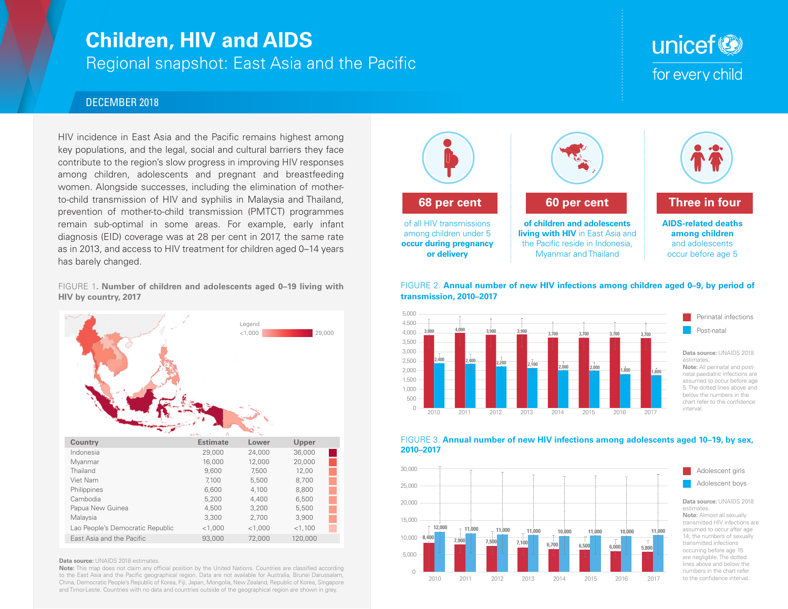## **Children, HIV and AIDS**

Regional snapshot: East Asia and the Pacific

# unicef<sup>®</sup> for every child

### DECEMBER 2018

HIV incidence in East Asia and the Pacific remains highest among key populations, and the legal, social and cultural barriers they face contribute to the region's slow progress in improving HIV responses among children, adolescents and pregnant and breastfeeding women. Alongside successes, including the elimination of motherto-child transmission of HIV and syphilis in Malaysia and Thailand, prevention of mother-to-child transmission (PMTCT) programmes remain sub-optimal in some areas. For example, early infant diagnosis (EID) coverage was at 28 per cent in 2017, the same rate as in 2013, and access to HIV treatment for children aged 0–14 years has barely changed.

FIGURE 1**. Number of children and adolescents aged 0–19 living with HIV by country, 2017**



#### **Data source: UNAIDS 2018 estimates.**

**Note:** This map does not claim any official position by the United Nations. Countries are classified according to the East Asia and the Pacific geographical region. Data are not available for Australia, Brunei Darussalam, China, Democratic People's Republic of Korea, Fiji, Japan, Mongolia, New Zealand, Republic of Korea, Singapore and Timor-Leste. Countries with no data and countries outside of the geographical region are shown in grey.











**Data source:** UNAIDS 2018 **Note:** Almost all sexually transmitted HIV infections are assumed to occur after age 14; the numbers of sexually transmitted infections occurring before age 15 are negligible. The dotted lines above and below the